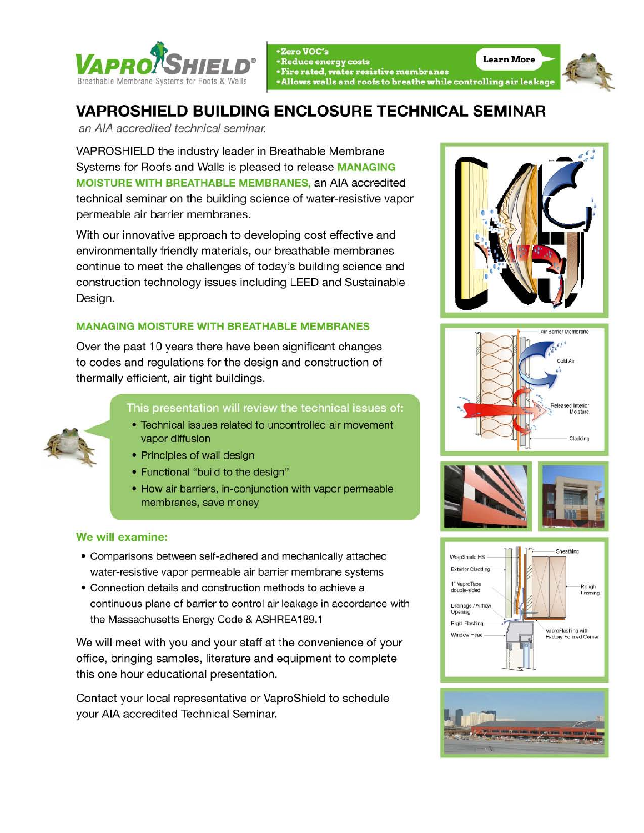

• Zero VOC's<br>• Reduce energy costs • Reduce energy costs<br>• Fire rated, water resistive membranes · Allows walls and roofs to breathe while controlling air leakage



## VAPROSHIELD BUILDING ENCLOSURE TECHNICAL SEMINAR

an AlA accredited technical seminar.

VAPROSHIELD the industry leader in Breathable Membrane Systems for Roofs and Walls is pleased to release MANAGING MOISTURE WITH BREATHABLE MEMBRANES, an AlA accredited technical seminar on the building science of water-resistive vapor permeable air barrier membranes.

With our innovative approach to developing cost effective and environmentally friendly materials, our breathable membranes continue to meet the challenges of today's building science and construction technology issues including LEED and Sustainable Design.

## MANAGING MOISTURE WITH BREATHABLE MEMBRANES

Over the past 10 years there have been significant changes to codes and regulations for the design and construction of thermally efficient, air tight buildings.

This presentation will review the technical issues of:

- Technical issues related to uncontrolled air movement vapor diffusion
- Principles of wall design
- Functional "build to the design"
- How air barriers, in-conjunction with vapor permeable membranes, save money

## We will examine:

- Comparisons between self-adhered and mechanically attached water-resistive vapor permeable air barrier membrane systems
- Connection details and construction methods to achieve a continuous plane of barrier to control air leakage in accordance with the Massachusetts Energy Code & ASHREA189.1

We will meet with you and your staff at the convenience of your office , bringing samples, literature and equipment to complete this one hour educational presentation.

Contact your local representative or VaproShield to schedule your AIA accredited Technical Seminar.